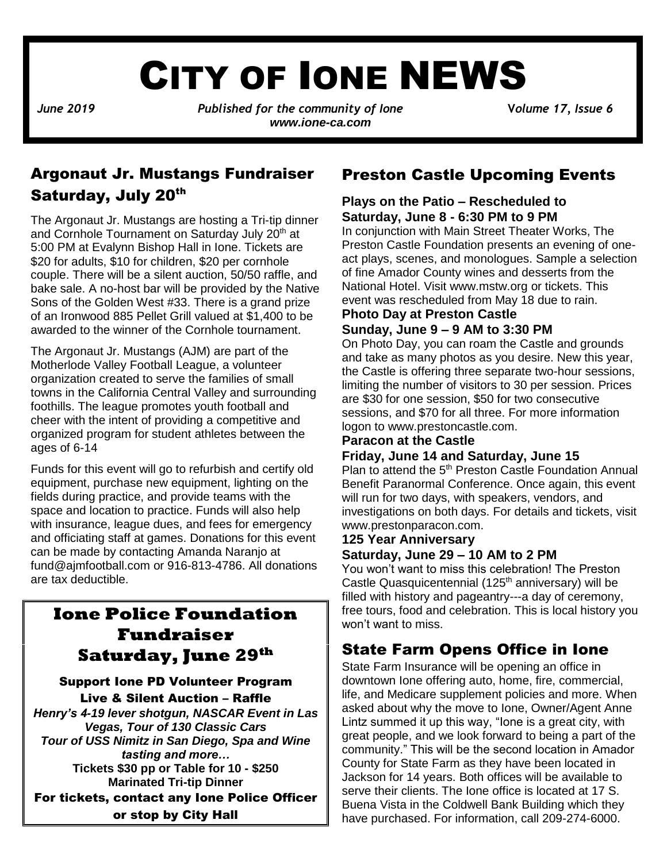# CITY OF IONE NEWS

*June* 2019 *Published for the community of Ione Volume 17, Issue 6 www.ione-ca.com*

## Argonaut Jr. Mustangs Fundraiser Saturday, July 20th

The Argonaut Jr. Mustangs are hosting a Tri-tip dinner and Cornhole Tournament on Saturday July 20<sup>th</sup> at 5:00 PM at Evalynn Bishop Hall in Ione. Tickets are \$20 for adults, \$10 for children, \$20 per cornhole couple. There will be a silent auction, 50/50 raffle, and bake sale. A no-host bar will be provided by the Native Sons of the Golden West #33. There is a grand prize of an Ironwood 885 Pellet Grill valued at \$1,400 to be awarded to the winner of the Cornhole tournament.

✓ ages of 6-14 The Argonaut Jr. Mustangs (AJM) are part of the Motherlode Valley Football League, a volunteer organization created to serve the families of small towns in the California Central Valley and surrounding foothills. The league promotes youth football and cheer with the intent of providing a competitive and organized program for student athletes between the

Funds for this event will go to refurbish and certify old equipment, purchase new equipment, lighting on the fields during practice, and provide teams with the space and location to practice. Funds will also help with insurance, league dues, and fees for emergency and officiating staff at games. Donations for this event can be made by contacting Amanda Naranjo at [fund@ajmfootball.com](mailto:fund@ajmfootball.com) or 916-813-4786. All donations are tax deductible.

## **Ione Police Foundation Fundraiser Saturday, June 29th**

Support Ione PD Volunteer Program Live & Silent Auction – Raffle *Henry's 4-19 lever shotgun, NASCAR Event in Las Vegas, Tour of 130 Classic Cars Tour of USS Nimitz in San Diego, Spa and Wine tasting and more…* **Tickets \$30 pp or Table for 10 - \$250 Marinated Tri-tip Dinner** For tickets, contact any Ione Police Officer or stop by City Hall

## Preston Castle Upcoming Events

#### **Plays on the Patio – Rescheduled to Saturday, June 8 - 6:30 PM to 9 PM**

In conjunction with Main Street Theater Works, The Preston Castle Foundation presents an evening of oneact plays, scenes, and monologues. Sample a selection of fine Amador County wines and desserts from the National Hotel. Visit [www.mstw.org](http://www.mstw.org/) or tickets. This event was rescheduled from May 18 due to rain.

#### **Photo Day at Preston Castle Sunday, June 9 – 9 AM to 3:30 PM**

On Photo Day, you can roam the Castle and grounds and take as many photos as you desire. New this year, the Castle is offering three separate two-hour sessions, limiting the number of visitors to 30 per session. Prices are \$30 for one session, \$50 for two consecutive sessions, and \$70 for all three. For more information logon to www.prestoncastle.com.

#### **Paracon at the Castle**

#### **Friday, June 14 and Saturday, June 15**

Plan to attend the 5<sup>th</sup> Preston Castle Foundation Annual Benefit Paranormal Conference. Once again, this event will run for two days, with speakers, vendors, and investigations on both days. For details and tickets, visit www.prestonparacon.com.

### **125 Year Anniversary**

#### **Saturday, June 29 – 10 AM to 2 PM**

You won't want to miss this celebration! The Preston Castle Quasquicentennial (125<sup>th</sup> anniversary) will be filled with history and pageantry---a day of ceremony, free tours, food and celebration. This is local history you won't want to miss.

## State Farm Opens Office in Ione

State Farm Insurance will be opening an office in downtown Ione offering auto, home, fire, commercial, life, and Medicare supplement policies and more. When asked about why the move to Ione, Owner/Agent Anne Lintz summed it up this way, "Ione is a great city, with great people, and we look forward to being a part of the community." This will be the second location in Amador County for State Farm as they have been located in Jackson for 14 years. Both offices will be available to serve their clients. The Ione office is located at 17 S. Buena Vista in the Coldwell Bank Building which they have purchased. For information, call 209-274-6000.